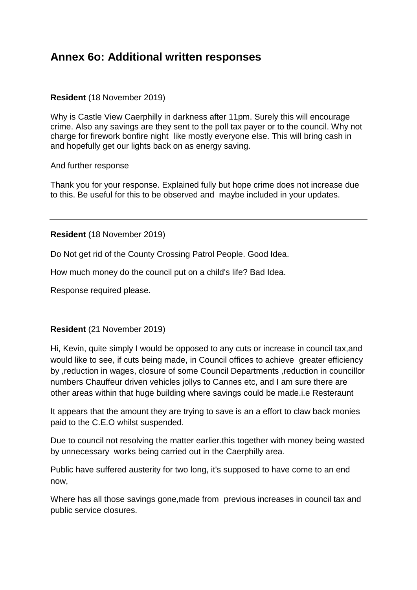# **Annex 6o: Additional written responses**

### **Resident** (18 November 2019)

Why is Castle View Caerphilly in darkness after 11pm. Surely this will encourage crime. Also any savings are they sent to the poll tax payer or to the council. Why not charge for firework bonfire night like mostly everyone else. This will bring cash in and hopefully get our lights back on as energy saving.

And further response

Thank you for your response. Explained fully but hope crime does not increase due to this. Be useful for this to be observed and maybe included in your updates.

**Resident** (18 November 2019)

Do Not get rid of the County Crossing Patrol People. Good Idea.

How much money do the council put on a child's life? Bad Idea.

Response required please.

### **Resident** (21 November 2019)

Hi, Kevin, quite simply I would be opposed to any cuts or increase in council tax,and would like to see, if cuts being made, in Council offices to achieve greater efficiency by ,reduction in wages, closure of some Council Departments ,reduction in councillor numbers Chauffeur driven vehicles jollys to Cannes etc, and I am sure there are other areas within that huge building where savings could be made.i.e Resteraunt

It appears that the amount they are trying to save is an a effort to claw back monies paid to the C.E.O whilst suspended.

Due to council not resolving the matter earlier.this together with money being wasted by unnecessary works being carried out in the Caerphilly area.

Public have suffered austerity for two long, it's supposed to have come to an end now,

Where has all those savings gone,made from previous increases in council tax and public service closures.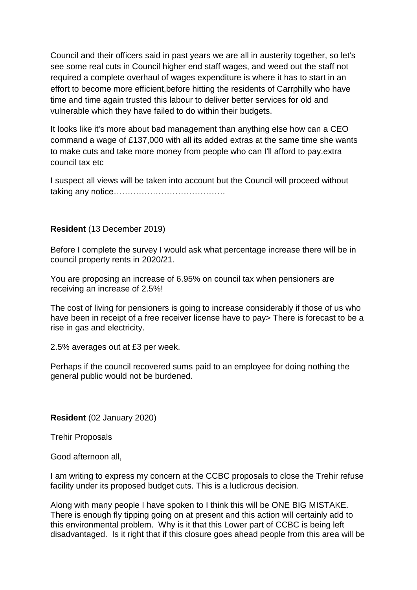Council and their officers said in past years we are all in austerity together, so let's see some real cuts in Council higher end staff wages, and weed out the staff not required a complete overhaul of wages expenditure is where it has to start in an effort to become more efficient,before hitting the residents of Carrphilly who have time and time again trusted this labour to deliver better services for old and vulnerable which they have failed to do within their budgets.

It looks like it's more about bad management than anything else how can a CEO command a wage of £137,000 with all its added extras at the same time she wants to make cuts and take more money from people who can I'll afford to pay.extra council tax etc

I suspect all views will be taken into account but the Council will proceed without taking any notice………………………………….

## **Resident** (13 December 2019)

Before I complete the survey I would ask what percentage increase there will be in council property rents in 2020/21.

You are proposing an increase of 6.95% on council tax when pensioners are receiving an increase of 2.5%!

The cost of living for pensioners is going to increase considerably if those of us who have been in receipt of a free receiver license have to pay> There is forecast to be a rise in gas and electricity.

2.5% averages out at £3 per week.

Perhaps if the council recovered sums paid to an employee for doing nothing the general public would not be burdened.

**Resident** (02 January 2020)

Trehir Proposals

Good afternoon all,

I am writing to express my concern at the CCBC proposals to close the Trehir refuse facility under its proposed budget cuts. This is a ludicrous decision.

Along with many people I have spoken to I think this will be ONE BIG MISTAKE. There is enough fly tipping going on at present and this action will certainly add to this environmental problem. Why is it that this Lower part of CCBC is being left disadvantaged. Is it right that if this closure goes ahead people from this area will be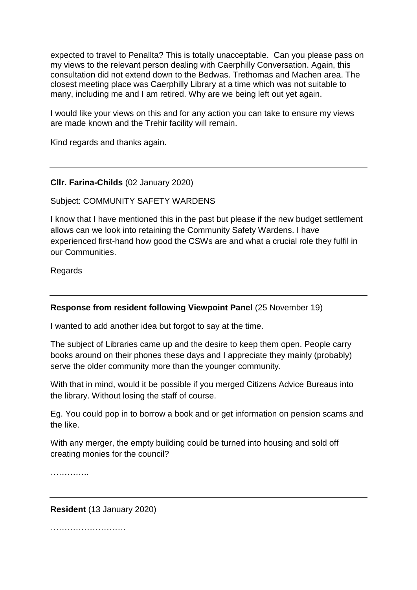expected to travel to Penallta? This is totally unacceptable. Can you please pass on my views to the relevant person dealing with Caerphilly Conversation. Again, this consultation did not extend down to the Bedwas. Trethomas and Machen area. The closest meeting place was Caerphilly Library at a time which was not suitable to many, including me and I am retired. Why are we being left out yet again.

I would like your views on this and for any action you can take to ensure my views are made known and the Trehir facility will remain.

Kind regards and thanks again.

**Cllr. Farina-Childs** (02 January 2020)

Subject: COMMUNITY SAFETY WARDENS

I know that I have mentioned this in the past but please if the new budget settlement allows can we look into retaining the Community Safety Wardens. I have experienced first-hand how good the CSWs are and what a crucial role they fulfil in our Communities.

Regards

### **Response from resident following Viewpoint Panel** (25 November 19)

I wanted to add another idea but forgot to say at the time.

The subject of Libraries came up and the desire to keep them open. People carry books around on their phones these days and I appreciate they mainly (probably) serve the older community more than the younger community.

With that in mind, would it be possible if you merged Citizens Advice Bureaus into the library. Without losing the staff of course.

Eg. You could pop in to borrow a book and or get information on pension scams and the like.

With any merger, the empty building could be turned into housing and sold off creating monies for the council?

……………

**Resident** (13 January 2020)

………………………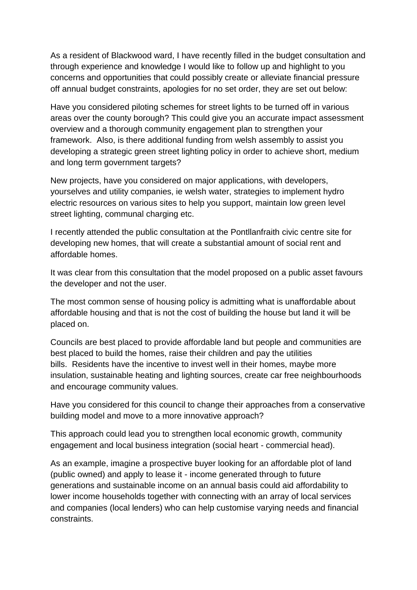As a resident of Blackwood ward, I have recently filled in the budget consultation and through experience and knowledge I would like to follow up and highlight to you concerns and opportunities that could possibly create or alleviate financial pressure off annual budget constraints, apologies for no set order, they are set out below:

Have you considered piloting schemes for street lights to be turned off in various areas over the county borough? This could give you an accurate impact assessment overview and a thorough community engagement plan to strengthen your framework. Also, is there additional funding from welsh assembly to assist you developing a strategic green street lighting policy in order to achieve short, medium and long term government targets?

New projects, have you considered on major applications, with developers, yourselves and utility companies, ie welsh water, strategies to implement hydro electric resources on various sites to help you support, maintain low green level street lighting, communal charging etc.

I recently attended the public consultation at the Pontllanfraith civic centre site for developing new homes, that will create a substantial amount of social rent and affordable homes.

It was clear from this consultation that the model proposed on a public asset favours the developer and not the user.

The most common sense of housing policy is admitting what is unaffordable about affordable housing and that is not the cost of building the house but land it will be placed on.

Councils are best placed to provide affordable land but people and communities are best placed to build the homes, raise their children and pay the utilities bills. Residents have the incentive to invest well in their homes, maybe more insulation, sustainable heating and lighting sources, create car free neighbourhoods and encourage community values.

Have you considered for this council to change their approaches from a conservative building model and move to a more innovative approach?

This approach could lead you to strengthen local economic growth, community engagement and local business integration (social heart - commercial head).

As an example, imagine a prospective buyer looking for an affordable plot of land (public owned) and apply to lease it - income generated through to future generations and sustainable income on an annual basis could aid affordability to lower income households together with connecting with an array of local services and companies (local lenders) who can help customise varying needs and financial constraints.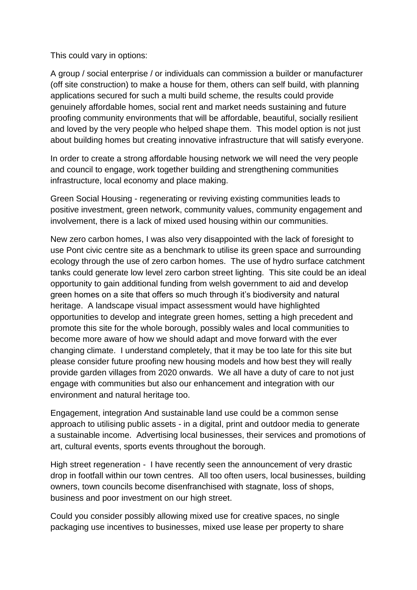This could vary in options:

A group / social enterprise / or individuals can commission a builder or manufacturer (off site construction) to make a house for them, others can self build, with planning applications secured for such a multi build scheme, the results could provide genuinely affordable homes, social rent and market needs sustaining and future proofing community environments that will be affordable, beautiful, socially resilient and loved by the very people who helped shape them. This model option is not just about building homes but creating innovative infrastructure that will satisfy everyone.

In order to create a strong affordable housing network we will need the very people and council to engage, work together building and strengthening communities infrastructure, local economy and place making.

Green Social Housing - regenerating or reviving existing communities leads to positive investment, green network, community values, community engagement and involvement, there is a lack of mixed used housing within our communities.

New zero carbon homes, I was also very disappointed with the lack of foresight to use Pont civic centre site as a benchmark to utilise its green space and surrounding ecology through the use of zero carbon homes. The use of hydro surface catchment tanks could generate low level zero carbon street lighting. This site could be an ideal opportunity to gain additional funding from welsh government to aid and develop green homes on a site that offers so much through it's biodiversity and natural heritage. A landscape visual impact assessment would have highlighted opportunities to develop and integrate green homes, setting a high precedent and promote this site for the whole borough, possibly wales and local communities to become more aware of how we should adapt and move forward with the ever changing climate. I understand completely, that it may be too late for this site but please consider future proofing new housing models and how best they will really provide garden villages from 2020 onwards. We all have a duty of care to not just engage with communities but also our enhancement and integration with our environment and natural heritage too.

Engagement, integration And sustainable land use could be a common sense approach to utilising public assets - in a digital, print and outdoor media to generate a sustainable income. Advertising local businesses, their services and promotions of art, cultural events, sports events throughout the borough.

High street regeneration - I have recently seen the announcement of very drastic drop in footfall within our town centres. All too often users, local businesses, building owners, town councils become disenfranchised with stagnate, loss of shops, business and poor investment on our high street.

Could you consider possibly allowing mixed use for creative spaces, no single packaging use incentives to businesses, mixed use lease per property to share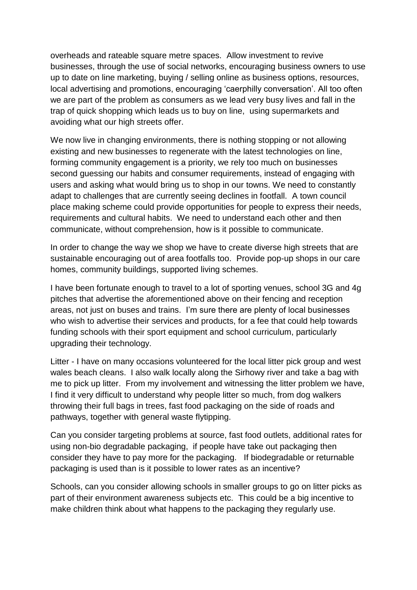overheads and rateable square metre spaces. Allow investment to revive businesses, through the use of social networks, encouraging business owners to use up to date on line marketing, buying / selling online as business options, resources, local advertising and promotions, encouraging 'caerphilly conversation'. All too often we are part of the problem as consumers as we lead very busy lives and fall in the trap of quick shopping which leads us to buy on line, using supermarkets and avoiding what our high streets offer.

We now live in changing environments, there is nothing stopping or not allowing existing and new businesses to regenerate with the latest technologies on line, forming community engagement is a priority, we rely too much on businesses second guessing our habits and consumer requirements, instead of engaging with users and asking what would bring us to shop in our towns. We need to constantly adapt to challenges that are currently seeing declines in footfall. A town council place making scheme could provide opportunities for people to express their needs, requirements and cultural habits. We need to understand each other and then communicate, without comprehension, how is it possible to communicate.

In order to change the way we shop we have to create diverse high streets that are sustainable encouraging out of area footfalls too. Provide pop-up shops in our care homes, community buildings, supported living schemes.

I have been fortunate enough to travel to a lot of sporting venues, school 3G and 4g pitches that advertise the aforementioned above on their fencing and reception areas, not just on buses and trains. I'm sure there are plenty of local businesses who wish to advertise their services and products, for a fee that could help towards funding schools with their sport equipment and school curriculum, particularly upgrading their technology.

Litter - I have on many occasions volunteered for the local litter pick group and west wales beach cleans. I also walk locally along the Sirhowy river and take a bag with me to pick up litter. From my involvement and witnessing the litter problem we have, I find it very difficult to understand why people litter so much, from dog walkers throwing their full bags in trees, fast food packaging on the side of roads and pathways, together with general waste flytipping.

Can you consider targeting problems at source, fast food outlets, additional rates for using non-bio degradable packaging, if people have take out packaging then consider they have to pay more for the packaging. If biodegradable or returnable packaging is used than is it possible to lower rates as an incentive?

Schools, can you consider allowing schools in smaller groups to go on litter picks as part of their environment awareness subjects etc. This could be a big incentive to make children think about what happens to the packaging they regularly use.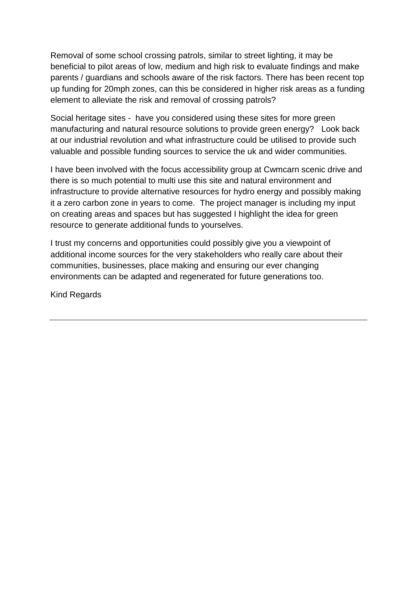Removal of some school crossing patrols, similar to street lighting, it may be beneficial to pilot areas of low, medium and high risk to evaluate findings and make parents / guardians and schools aware of the risk factors. There has been recent top up funding for 20mph zones, can this be considered in higher risk areas as a funding element to alleviate the risk and removal of crossing patrols?

Social heritage sites - have you considered using these sites for more green manufacturing and natural resource solutions to provide green energy? Look back at our industrial revolution and what infrastructure could be utilised to provide such valuable and possible funding sources to service the uk and wider communities.

I have been involved with the focus accessibility group at Cwmcarn scenic drive and there is so much potential to multi use this site and natural environment and infrastructure to provide alternative resources for hydro energy and possibly making it a zero carbon zone in years to come. The project manager is including my input on creating areas and spaces but has suggested I highlight the idea for green resource to generate additional funds to yourselves.

I trust my concerns and opportunities could possibly give you a viewpoint of additional income sources for the very stakeholders who really care about their communities, businesses, place making and ensuring our ever changing environments can be adapted and regenerated for future generations too.

Kind Regards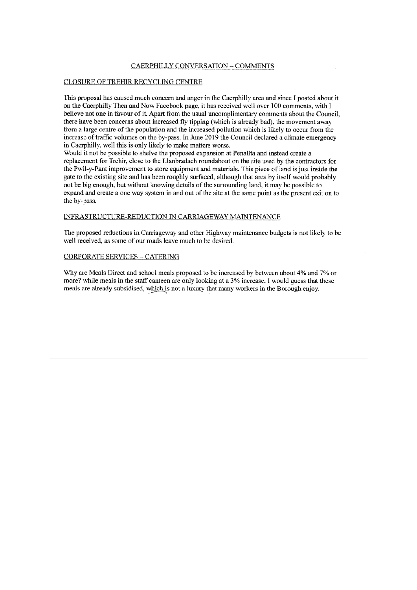#### CAERPHILLY CONVERSATION - COMMENTS

#### CLOSURE OF TREHIR RECYCLING CENTRE

This proposal has caused much concern and anger in the Caerphilly area and since I posted about it on the Caerphilly Then and Now Facebook page, it has received well over 100 comments, with I believe not one in favour of it. Apart from the usual uncomplimentary comments about the Council. there have been concerns about increased fly tipping (which is already bad), the movement away from a large centre of the population and the increased pollution which is likely to occur from the increase of traffic volumes on the by-pass. In June 2019 the Council declared a climate emergency in Caerphilly, well this is only likely to make matters worse.

Would it not be possible to shelve the proposed expansion at Penallta and instead create a replacement for Trehir, close to the Llanbradach roundabout on the site used by the contractors for the Pwll-y-Pant improvement to store equipment and materials. This piece of land is just inside the gate to the existing site and has been roughly surfaced, although that area by itself would probably not be big enough, but without knowing details of the surrounding land, it may be possible to expand and create a one way system in and out of the site at the same point as the present exit on to the by-pass.

#### INFRASTRUCTURE-REDUCTION IN CARRIAGEWAY MAINTENANCE

The proposed reductions in Carriageway and other Highway maintenance budgets is not likely to be well received, as some of our roads leave much to be desired.

#### **CORPORATE SERVICES - CATERING**

Why are Meals Direct and school meals proposed to be increased by between about 4% and 7% or more? while meals in the staff canteen are only looking at a 3% increase. I would guess that these meals are already subsidised, which is not a luxury that many workers in the Borough enjoy.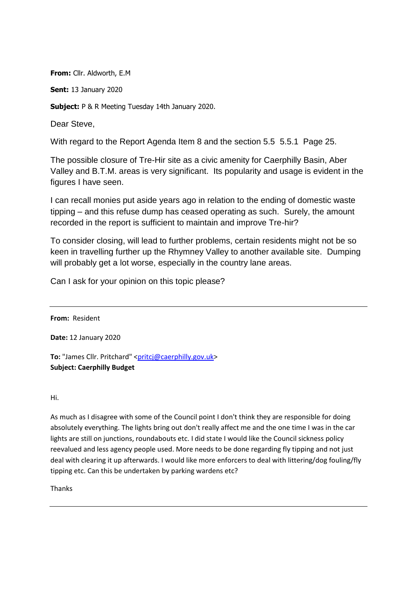**From:** Cllr. Aldworth, E.M

**Sent:** 13 January 2020

**Subject:** P & R Meeting Tuesday 14th January 2020.

Dear Steve,

With regard to the Report Agenda Item 8 and the section 5.5 5.5.1 Page 25.

The possible closure of Tre-Hir site as a civic amenity for Caerphilly Basin, Aber Valley and B.T.M. areas is very significant. Its popularity and usage is evident in the figures I have seen.

I can recall monies put aside years ago in relation to the ending of domestic waste tipping – and this refuse dump has ceased operating as such. Surely, the amount recorded in the report is sufficient to maintain and improve Tre-hir?

To consider closing, will lead to further problems, certain residents might not be so keen in travelling further up the Rhymney Valley to another available site. Dumping will probably get a lot worse, especially in the country lane areas.

Can I ask for your opinion on this topic please?

**From:** Resident

**Date:** 12 January 2020

**To:** "James Cllr. Pritchard" [<pritcj@caerphilly.gov.uk>](mailto:pritcj@caerphilly.gov.uk) **Subject: Caerphilly Budget**

Hi.

As much as I disagree with some of the Council point I don't think they are responsible for doing absolutely everything. The lights bring out don't really affect me and the one time I was in the car lights are still on junctions, roundabouts etc. I did state I would like the Council sickness policy reevalued and less agency people used. More needs to be done regarding fly tipping and not just deal with clearing it up afterwards. I would like more enforcers to deal with littering/dog fouling/fly tipping etc. Can this be undertaken by parking wardens etc?

Thanks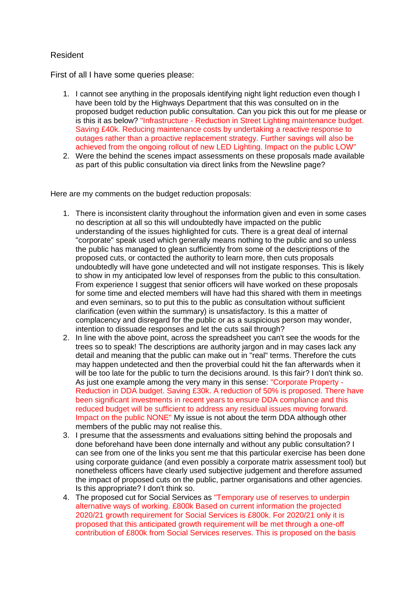# Resident

First of all I have some queries please:

- 1. I cannot see anything in the proposals identifying night light reduction even though I have been told by the Highways Department that this was consulted on in the proposed budget reduction public consultation. Can you pick this out for me please or is this it as below? "Infrastructure - Reduction in Street Lighting maintenance budget. Saving £40k. Reducing maintenance costs by undertaking a reactive response to outages rather than a proactive replacement strategy. Further savings will also be achieved from the ongoing rollout of new LED Lighting. Impact on the public LOW"
- 2. Were the behind the scenes impact assessments on these proposals made available as part of this public consultation via direct links from the Newsline page?

Here are my comments on the budget reduction proposals:

- 1. There is inconsistent clarity throughout the information given and even in some cases no description at all so this will undoubtedly have impacted on the public understanding of the issues highlighted for cuts. There is a great deal of internal "corporate" speak used which generally means nothing to the public and so unless the public has managed to glean sufficiently from some of the descriptions of the proposed cuts, or contacted the authority to learn more, then cuts proposals undoubtedly will have gone undetected and will not instigate responses. This is likely to show in my anticipated low level of responses from the public to this consultation. From experience I suggest that senior officers will have worked on these proposals for some time and elected members will have had this shared with them in meetings and even seminars, so to put this to the public as consultation without sufficient clarification (even within the summary) is unsatisfactory. Is this a matter of complacency and disregard for the public or as a suspicious person may wonder, intention to dissuade responses and let the cuts sail through?
- 2. In line with the above point, across the spreadsheet you can't see the woods for the trees so to speak! The descriptions are authority jargon and in may cases lack any detail and meaning that the public can make out in "real" terms. Therefore the cuts may happen undetected and then the proverbial could hit the fan afterwards when it will be too late for the public to turn the decisions around. Is this fair? I don't think so. As just one example among the very many in this sense: "Corporate Property - Reduction in DDA budget. Saving £30k. A reduction of 50% is proposed. There have been significant investments in recent years to ensure DDA compliance and this reduced budget will be sufficient to address any residual issues moving forward. Impact on the public NONE" My issue is not about the term DDA although other members of the public may not realise this.
- 3. I presume that the assessments and evaluations sitting behind the proposals and done beforehand have been done internally and without any public consultation? I can see from one of the links you sent me that this particular exercise has been done using corporate guidance (and even possibly a corporate matrix assessment tool) but nonetheless officers have clearly used subjective judgement and therefore assumed the impact of proposed cuts on the public, partner organisations and other agencies. Is this appropriate? I don't think so.
- 4. The proposed cut for Social Services as "Temporary use of reserves to underpin alternative ways of working. £800k Based on current information the projected 2020/21 growth requirement for Social Services is £800k. For 2020/21 only it is proposed that this anticipated growth requirement will be met through a one-off contribution of £800k from Social Services reserves. This is proposed on the basis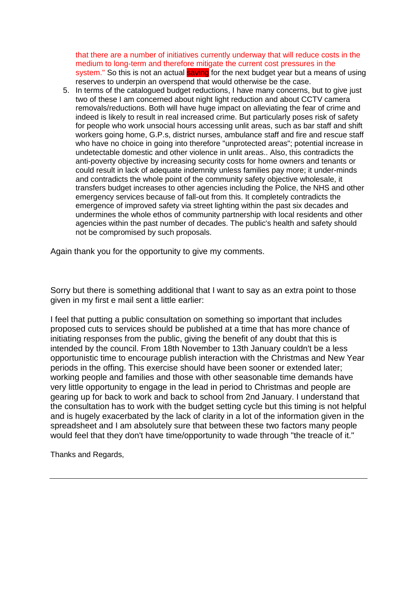that there are a number of initiatives currently underway that will reduce costs in the medium to long-term and therefore mitigate the current cost pressures in the system." So this is not an actual **saving** for the next budget year but a means of using reserves to underpin an overspend that would otherwise be the case.

5. In terms of the catalogued budget reductions, I have many concerns, but to give just two of these I am concerned about night light reduction and about CCTV camera removals/reductions. Both will have huge impact on alleviating the fear of crime and indeed is likely to result in real increased crime. But particularly poses risk of safety for people who work unsocial hours accessing unlit areas, such as bar staff and shift workers going home, G.P.s, district nurses, ambulance staff and fire and rescue staff who have no choice in going into therefore "unprotected areas"; potential increase in undetectable domestic and other violence in unlit areas.. Also, this contradicts the anti-poverty objective by increasing security costs for home owners and tenants or could result in lack of adequate indemnity unless families pay more; it under-minds and contradicts the whole point of the community safety objective wholesale, it transfers budget increases to other agencies including the Police, the NHS and other emergency services because of fall-out from this. It completely contradicts the emergence of improved safety via street lighting within the past six decades and undermines the whole ethos of community partnership with local residents and other agencies within the past number of decades. The public's health and safety should not be compromised by such proposals.

Again thank you for the opportunity to give my comments.

Sorry but there is something additional that I want to say as an extra point to those given in my first e mail sent a little earlier:

I feel that putting a public consultation on something so important that includes proposed cuts to services should be published at a time that has more chance of initiating responses from the public, giving the benefit of any doubt that this is intended by the council. From 18th November to 13th January couldn't be a less opportunistic time to encourage publish interaction with the Christmas and New Year periods in the offing. This exercise should have been sooner or extended later; working people and families and those with other seasonable time demands have very little opportunity to engage in the lead in period to Christmas and people are gearing up for back to work and back to school from 2nd January. I understand that the consultation has to work with the budget setting cycle but this timing is not helpful and is hugely exacerbated by the lack of clarity in a lot of the information given in the spreadsheet and I am absolutely sure that between these two factors many people would feel that they don't have time/opportunity to wade through "the treacle of it."

Thanks and Regards,